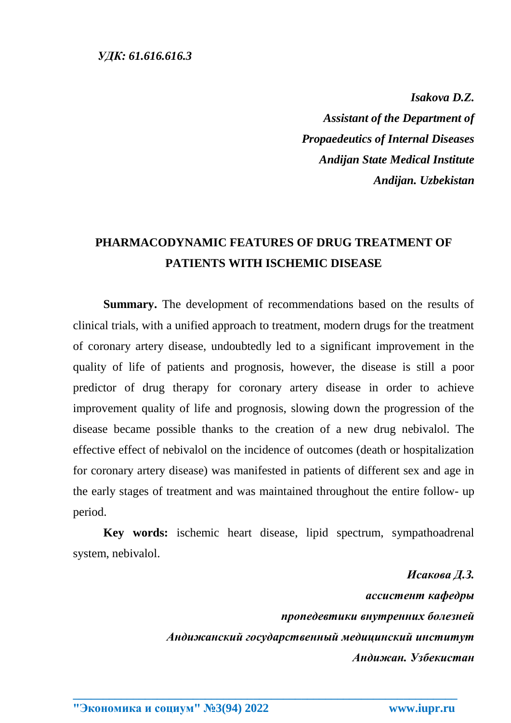*Isakova D.Z.*

*Assistant of the Department of Propaedeutics of Internal Diseases Andijan State Medical Institute Andijan. Uzbekistan*

## **PHARMACODYNAMIC FEATURES OF DRUG TREATMENT OF PATIENTS WITH ISCHEMIC DISEASE**

**Summary.** The development of recommendations based on the results of clinical trials, with a unified approach to treatment, modern drugs for the treatment of coronary artery disease, undoubtedly led to a significant improvement in the quality of life of patients and prognosis, however, the disease is still a poor predictor of drug therapy for coronary artery disease in order to achieve improvement quality of life and prognosis, slowing down the progression of the disease became possible thanks to the creation of a new drug nebivalol. The effective effect of nebivalol on the incidence of outcomes (death or hospitalization for coronary artery disease) was manifested in patients of different sex and age in the early stages of treatment and was maintained throughout the entire follow- up period.

**Key words:** ischemic heart disease, lipid spectrum, sympathoadrenal system, nebivalol.

**\_\_\_\_\_\_\_\_\_\_\_\_\_\_\_\_\_\_\_\_\_\_\_\_\_\_\_\_\_\_\_\_\_\_\_\_\_\_\_\_\_\_\_\_\_\_\_\_\_\_\_\_\_\_\_\_\_\_\_\_\_\_\_\_**

*Исакова Д.З. ассистент кафедры пропедевтики внутренних болезней Андижанский государственный медицинский институт Андижан. Узбекистан*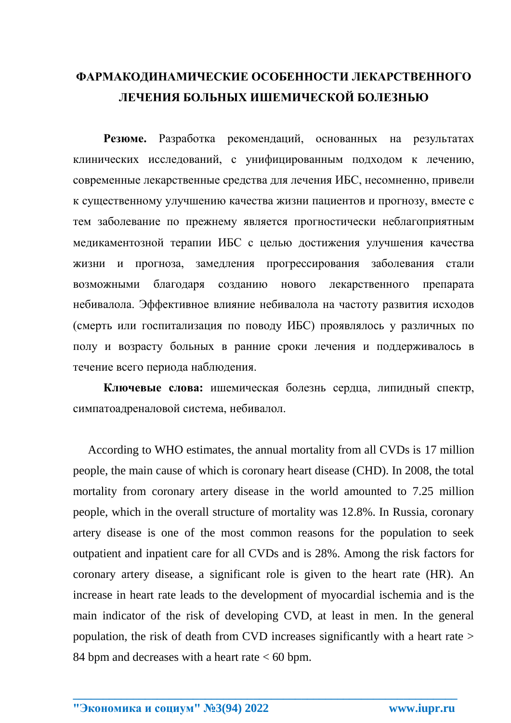## ФАРМАКОДИНАМИЧЕСКИЕ ОСОБЕННОСТИ ЛЕКАРСТВЕННОГО ЛЕЧЕНИЯ БОЛЬНЫХ ИШЕМИЧЕСКОЙ БОЛЕЗНЬЮ

Резюме. Разработка рекомендаций, основанных на результатах клинических исследований, с унифицированным подходом к лечению, современные лекарственные средства для лечения ИБС, несомненно, привели к существенному улучшению качества жизни пациентов и прогнозу, вместе с тем заболевание по прежнему является прогностически неблагоприятным медикаментозной терапии ИБС с целью достижения улучшения качества жизни и прогноза, замедления прогрессирования заболевания стали благодаря НОВОГО лекарственного **ВОЗМОЖНЫМИ** созданию препарата небивалола. Эффективное влияние небивалола на частоту развития исходов (смерть или госпитализация по поводу ИБС) проявлялось у различных по полу и возрасту больных в ранние сроки лечения и поддерживалось в течение всего периода наблюдения.

Ключевые слова: ишемическая болезнь сердца, липидный спектр, симпатоадреналовой система, небивалол.

According to WHO estimates, the annual mortality from all CVDs is 17 million people, the main cause of which is coronary heart disease (CHD). In 2008, the total mortality from coronary artery disease in the world amounted to 7.25 million people, which in the overall structure of mortality was 12.8%. In Russia, coronary artery disease is one of the most common reasons for the population to seek outpatient and inpatient care for all CVDs and is 28%. Among the risk factors for coronary artery disease, a significant role is given to the heart rate (HR). An increase in heart rate leads to the development of myocardial ischemia and is the main indicator of the risk of developing CVD, at least in men. In the general population, the risk of death from CVD increases significantly with a heart rate > 84 bpm and decreases with a heart rate  $< 60$  bpm.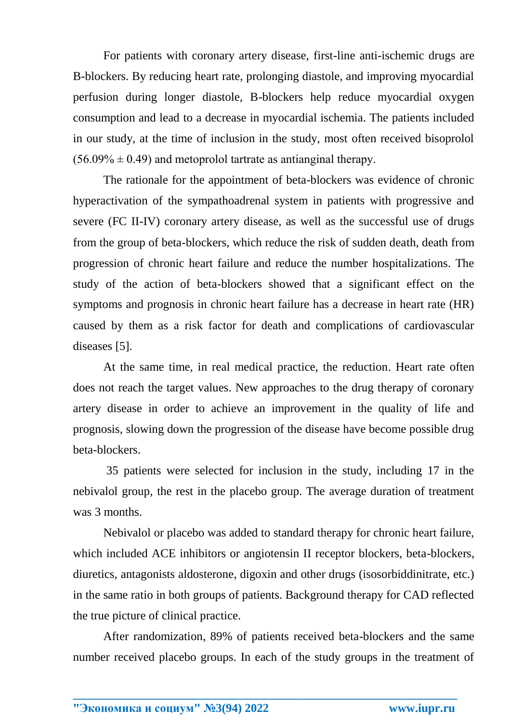For patients with coronary artery disease, first-line anti-ischemic drugs are B-blockers. By reducing heart rate, prolonging diastole, and improving myocardial perfusion during longer diastole, B-blockers help reduce myocardial oxygen consumption and lead to a decrease in myocardial ischemia. The patients included in our study, at the time of inclusion in the study, most often received bisoprolol  $(56.09\% \pm 0.49)$  and metoprolol tartrate as antianginal therapy.

The rationale for the appointment of beta-blockers was evidence of chronic hyperactivation of the sympathoadrenal system in patients with progressive and severe (FC II-IV) coronary artery disease, as well as the successful use of drugs from the group of beta-blockers, which reduce the risk of sudden death, death from progression of chronic heart failure and reduce the number hospitalizations. The study of the action of beta-blockers showed that a significant effect on the symptoms and prognosis in chronic heart failure has a decrease in heart rate (HR) caused by them as a risk factor for death and complications of cardiovascular diseases [5].

At the same time, in real medical practice, the reduction. Heart rate often does not reach the target values. New approaches to the drug therapy of coronary artery disease in order to achieve an improvement in the quality of life and prognosis, slowing down the progression of the disease have become possible drug beta-blockers.

35 patients were selected for inclusion in the study, including 17 in the nebivalol group, the rest in the placebo group. The average duration of treatment was 3 months.

Nebivalol or placebo was added to standard therapy for chronic heart failure, which included ACE inhibitors or angiotensin II receptor blockers, beta-blockers, diuretics, antagonists aldosterone, digoxin and other drugs (isosorbiddinitrate, etc.) in the same ratio in both groups of patients. Background therapy for CAD reflected the true picture of clinical practice.

After randomization, 89% of patients received beta-blockers and the same number received placebo groups. In each of the study groups in the treatment of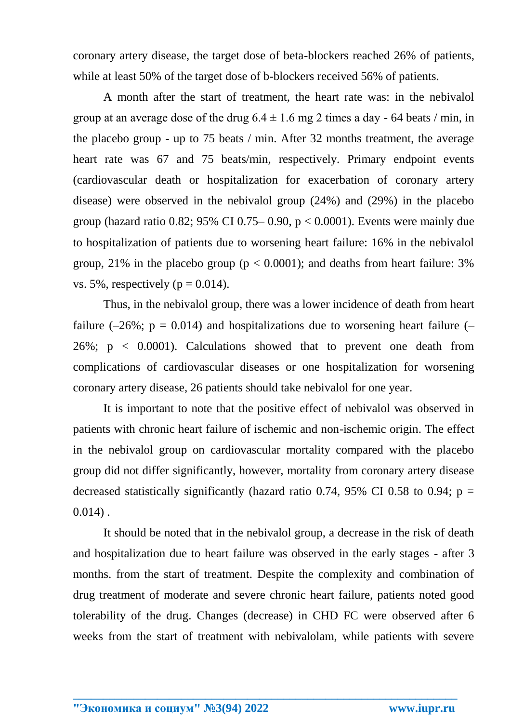coronary artery disease, the target dose of beta-blockers reached 26% of patients, while at least 50% of the target dose of b-blockers received 56% of patients.

A month after the start of treatment, the heart rate was: in the nebivalol group at an average dose of the drug  $6.4 \pm 1.6$  mg 2 times a day - 64 beats / min, in the placebo group - up to 75 beats / min. After 32 months treatment, the average heart rate was 67 and 75 beats/min, respectively. Primary endpoint events (cardiovascular death or hospitalization for exacerbation of coronary artery disease) were observed in the nebivalol group (24%) and (29%) in the placebo group (hazard ratio 0.82; 95% CI 0.75– 0.90,  $p < 0.0001$ ). Events were mainly due to hospitalization of patients due to worsening heart failure: 16% in the nebivalol group, 21% in the placebo group ( $p < 0.0001$ ); and deaths from heart failure: 3% vs. 5%, respectively ( $p = 0.014$ ).

Thus, in the nebivalol group, there was a lower incidence of death from heart failure  $(-26\%; p = 0.014)$  and hospitalizations due to worsening heart failure  $(-$ 26%;  $p \lt 0.0001$ ). Calculations showed that to prevent one death from complications of cardiovascular diseases or one hospitalization for worsening coronary artery disease, 26 patients should take nebivalol for one year.

It is important to note that the positive effect of nebivalol was observed in patients with chronic heart failure of ischemic and non-ischemic origin. The effect in the nebivalol group on cardiovascular mortality compared with the placebo group did not differ significantly, however, mortality from coronary artery disease decreased statistically significantly (hazard ratio 0.74, 95% CI 0.58 to 0.94;  $p =$  $0.014$ ).

It should be noted that in the nebivalol group, a decrease in the risk of death and hospitalization due to heart failure was observed in the early stages - after 3 months. from the start of treatment. Despite the complexity and combination of drug treatment of moderate and severe chronic heart failure, patients noted good tolerability of the drug. Changes (decrease) in CHD FC were observed after 6 weeks from the start of treatment with nebivalolam, while patients with severe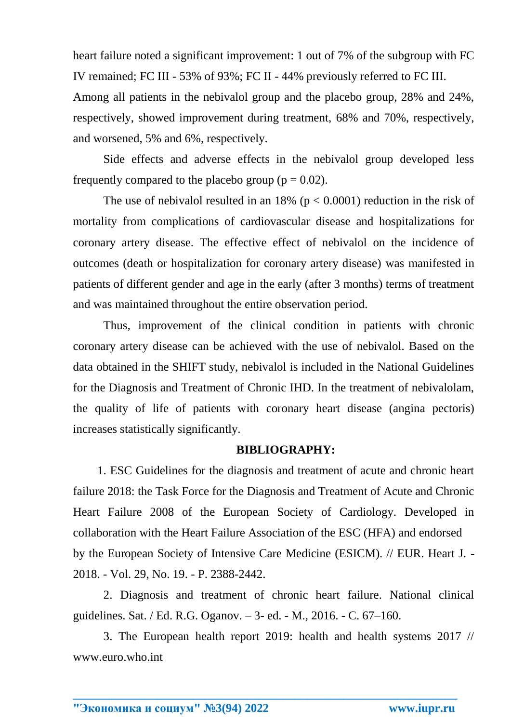heart failure noted a significant improvement: 1 out of 7% of the subgroup with FC IV remained; FC III - 53% of 93%; FC II - 44% previously referred to FC III. Among all patients in the nebivalol group and the placebo group, 28% and 24%, respectively, showed improvement during treatment, 68% and 70%, respectively, and worsened, 5% and 6%, respectively.

Side effects and adverse effects in the nebivalol group developed less frequently compared to the placebo group ( $p = 0.02$ ).

The use of nebivalol resulted in an  $18\%$  ( $p < 0.0001$ ) reduction in the risk of mortality from complications of cardiovascular disease and hospitalizations for coronary artery disease. The effective effect of nebivalol on the incidence of outcomes (death or hospitalization for coronary artery disease) was manifested in patients of different gender and age in the early (after 3 months) terms of treatment and was maintained throughout the entire observation period.

Thus, improvement of the clinical condition in patients with chronic coronary artery disease can be achieved with the use of nebivalol. Based on the data obtained in the SHIFT study, nebivalol is included in the National Guidelines for the Diagnosis and Treatment of Chronic IHD. In the treatment of nebivalolam, the quality of life of patients with coronary heart disease (angina pectoris) increases statistically significantly.

## **BIBLIOGRAPHY:**

1. ESC Guidelines for the diagnosis and treatment of acute and chronic heart failure 2018: the Task Force for the Diagnosis and Treatment of Acute and Chronic Heart Failure 2008 of the European Society of Cardiology. Developed in collaboration with the Heart Failure Association of the ESC (HFA) and endorsed by the European Society of Intensive Care Medicine (ESICM). // EUR. Heart J. - 2018. - Vol. 29, No. 19. - P. 2388-2442.

2. Diagnosis and treatment of chronic heart failure. National clinical guidelines. Sat. / Ed. R.G. Oganov. – 3- ed. - M., 2016. - C. 67–160.

3. The European health report 2019: health and health systems 2017 // www.euro.who.int